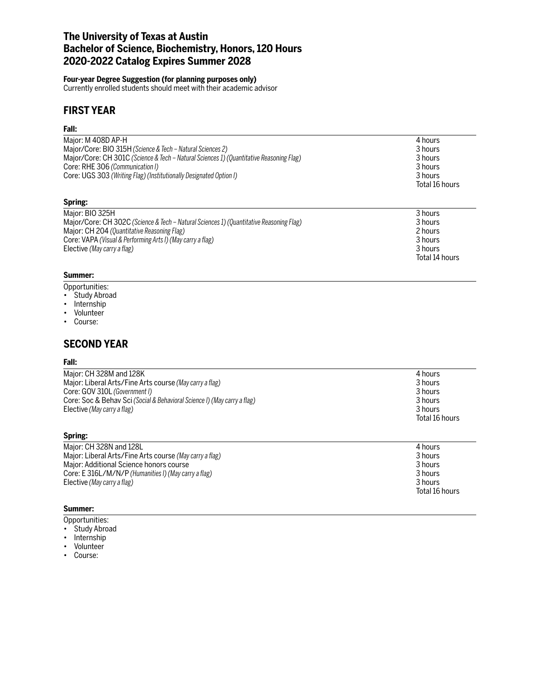## **The University of Texas at Austin Bachelor of Science, Biochemistry, Honors, 120 Hours 2020-2022 Catalog Expires Summer 2028**

### **Four-year Degree Suggestion (for planning purposes only)**

Currently enrolled students should meet with their academic advisor

## **FIRST YEAR**

#### **Fall:**

| Maior: M 408D AP-H                                                                      | 4 hours               |
|-----------------------------------------------------------------------------------------|-----------------------|
| Major/Core: BIO 315H (Science & Tech - Natural Sciences 2)                              | 3 hours               |
| Major/Core: CH 301C (Science & Tech - Natural Sciences 1) (Quantitative Reasoning Flag) | 3 hours               |
| Core: RHE 306 (Communication I)                                                         | 3 hours               |
| Core: UGS 303 (Writing Flag) (Institutionally Designated Option I)                      | 3 hours               |
|                                                                                         | Total 16 hours        |
| Spring:                                                                                 |                       |
| Major: BIO 325H                                                                         | 3 hours               |
| Major/Core: CH 302C (Science & Tech – Natural Sciences 1) (Quantitative Reasoning Flag) | 3 hours               |
|                                                                                         | $\sim$ $\blacksquare$ |

| INDIVIDUATE. UT JUZU (SCIENCE & TECH - Natural SCIENCES 1) (QUANTITATIVE REASONING FIAG) | <b>JIIUUIS</b> |
|------------------------------------------------------------------------------------------|----------------|
| Major: CH 204 (Quantitative Reasoning Flag)                                              | 2 hours        |
| Core: VAPA (Visual & Performing Arts I) (May carry a flag)                               | 3 hours        |
| Elective (May carry a flag)                                                              | 3 hours        |
|                                                                                          | Total 14 hours |

### **Summer:**

- Opportunities:
- Study Abroad
- Internship
- Volunteer
- Course:

## **SECOND YEAR**

#### **Fall:**

| Major: CH 328M and 128K                                                  | 4 hours        |
|--------------------------------------------------------------------------|----------------|
| Major: Liberal Arts/Fine Arts course (May carry a flag)                  | 3 hours        |
| Core: GOV 310L (Government I)                                            | 3 hours        |
| Core: Soc & Behav Sci (Social & Behavioral Science I) (May carry a flag) | 3 hours        |
| Elective (May carry a flag)                                              | 3 hours        |
|                                                                          | Total 16 hours |
| Spring:                                                                  |                |
| Major: CH 328N and 128L                                                  | 4 hours        |
| Major: Liberal Arts/Fine Arts course (May carry a flag)                  | 3 hours        |

Major: Additional Science honors course 3 hours<br>
Core: E 316L/M/N/P (Humanities I) (May carry a flag) 3 hours 3 hours 3 hours Core: E 316L/M/N/P *(Humanities I) (May carry a flag)* 3 hours Elective (May carry a flag) **3** hours and the set of the set of the set of the set of the set of the set of the set of the set of the set of the set of the set of the set of the set of the set of the set of the set of the Total 16 hours

### **Summer:**

- Opportunities:
- Study Abroad
- Internship
- Volunteer
- Course: